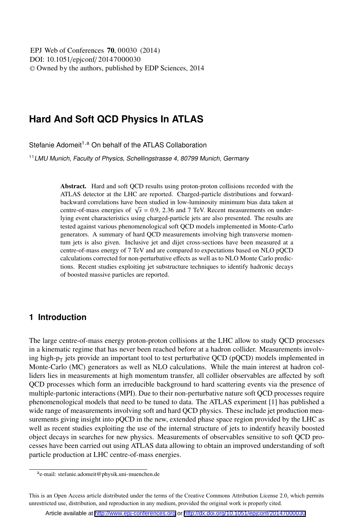DOI: 10.1051/epjconf/ 20147000030 -<sup>C</sup> Owned by the authors, published by EDP Sciences, 2014 EPJ Web of Conferences **70**, 00030 (2014)

# **Hard And Soft QCD Physics In ATLAS**

Stefanie Adomeit<sup>1,a</sup> On behalf of the ATLAS Collaboration

<sup>11</sup> LMU Munich, Faculty of Physics, Schellingstrasse 4, 80799 Munich, Germany  $L_{\text{max}}$  muniches  $L_{\text{max}}$  and  $L_{\text{max}}$  and  $L_{\text{max}}$ 

> Abstract. Hard and soft QCD results using proton-proton collisions recorded with the ATLAS detector at the LHC are reported. Charged-particle distributions and forwardbackward correlations have been studied in low-luminosity minimum bias data taken at centre-of-mass energies of  $\sqrt{s}$  = 0.9, 2.36 and 7 TeV. Recent measurements on underlying event characteristics using charged-particle jets are also presented. The results are tested against various phenomenological soft QCD models implemented in Monte-Carlo generators. A summary of hard QCD measurements involving high transverse momentum jets is also given. Inclusive jet and dijet cross-sections have been measured at a centre-of-mass energy of 7 TeV and are compared to expectations based on NLO pQCD calculations corrected for non-perturbative effects as well as to NLO Monte Carlo predictions. Recent studies exploiting jet substructure techniques to identify hadronic decays of boosted massive particles are reported.

## **1 Introduction**

The large centre-of-mass energy proton-proton collisions at the LHC allow to study QCD processes in a kinematic regime that has never been reached before at a hadron collider. Measurements involving high- $p_T$  jets provide an important tool to test perturbative QCD (pQCD) models implemented in Monte-Carlo (MC) generators as well as NLO calculations. While the main interest at hadron colliders lies in measurements at high momentum transfer, all collider observables are affected by soft QCD processes which form an irreducible background to hard scattering events via the presence of multiple-partonic interactions (MPI). Due to their non-perturbative nature soft QCD processes require phenomenological models that need to be tuned to data. The ATLAS experiment [1] has published a wide range of measurements involving soft and hard QCD physics. These include jet production measurements giving insight into pQCD in the new, extended phase space region provided by the LHC as well as recent studies exploiting the use of the internal structure of jets to indentify heavily boosted object decays in searches for new physics. Measurements of observables sensitive to soft QCD processes have been carried out using ATLAS data allowing to obtain an improved understanding of soft particle production at LHC centre-of-mass energies.

ae-mail: stefanie.adomeit@physik.uni-muenchen.de

This is an Open Access article distributed under the terms of the Creative Commons Attribution License 2.0, which permits unrestricted use, distribution, and reproduction in any medium, provided the original work is properly cited.

Article available at <http://www.epj-conferences.org> or <http://dx.doi.org/10.1051/epjconf/20147000030>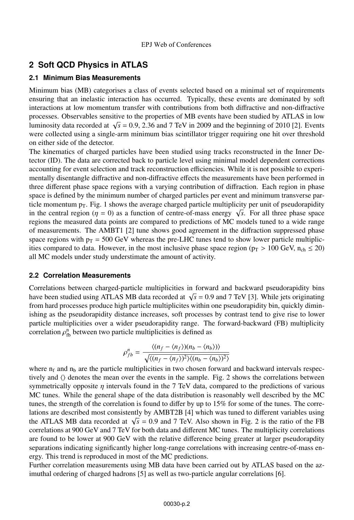# **2 Soft QCD Physics in ATLAS**

### **2.1 Minimum Bias Measurements**

Minimum bias (MB) categorises a class of events selected based on a minimal set of requirements ensuring that an inelastic interaction has occurred. Typically, these events are dominated by soft interactions at low momentum transfer with contributions from both diffractive and non-diffractive processes. Observables sensitive to the properties of MB events have been studied by ATLAS in low luminosity data recorded at  $\sqrt{s}$  = 0.9, 2.36 and 7 TeV in 2009 and the beginning of 2010 [2]. Events were collected using a single-arm minimum bias scintillator trigger requiring one hit over threshold on either side of the detector.

The kinematics of charged particles have been studied using tracks reconstructed in the Inner Detector (ID). The data are corrected back to particle level using minimal model dependent corrections accounting for event selection and track reconstruction efficiencies. While it is not possible to experimentally disentangle diffractive and non-diffractive effects the measurements have been performed in three different phase space regions with a varying contribution of diffraction. Each region in phase space is defined by the minimum number of charged particles per event and minimum transverse particle momentum  $p_T$ . Fig. 1 shows the average charged particle multiplicity per unit of pseudorapidity in the central region ( $\eta = 0$ ) as a function of centre-of-mass energy  $\sqrt{s}$ . For all three phase space regions the measured data points are compared to predictions of MC models tuned to a wide range of measurements. The AMBT1 [2] tune shows good agreement in the diffraction suppressed phase space regions with  $p_T = 500 \text{ GeV}$  whereas the pre-LHC tunes tend to show lower particle multiplicities compared to data. However, in the most inclusive phase space region ( $p_T > 100 \text{ GeV}, n_{ch} \leq 20$ ) all MC models under study understimate the amount of activity.

### **2.2 Correlation Measurements**

Correlations between charged-particle multiplicities in forward and backward pseudorapidity bins have been studied using ATLAS MB data recorded at  $\sqrt{s}$  = 0.9 and 7 TeV [3]. While jets originating from hard processes produce high particle multiplicites within one pseudorapidity bin, quickly diminishing as the pseudorapidity distance increases, soft processes by contrast tend to give rise to lower particle multiplicities over a wider pseudorapidity range. The forward-backward (FB) multiplicity correlation  $\rho_{\text{fb}}^n$  between two particle multiplicities is defined as

$$
\rho_{fb}^{n} = \frac{\langle (n_f - \langle n_f \rangle)(n_b - \langle n_b \rangle) \rangle}{\sqrt{\langle (n_f - \langle n_f \rangle)^2 \rangle \langle (n_b - \langle n_b \rangle)^2 \rangle}}
$$

where  $n_f$  and  $n_b$  are the particle multiplicities in two chosen forward and backward intervals respectively and  $\langle \rangle$  denotes the mean over the events in the sample. Fig. 2 shows the correlations between symmetrically opposite  $\eta$  intervals found in the 7 TeV data, compared to the predictions of various MC tunes. While the general shape of the data distribution is reasonably well described by the MC tunes, the strength of the correlation is found to differ by up to 15% for some of the tunes. The correlations are described most consistently by AMBT2B [4] which was tuned to different variables using the ATLAS MB data recorded at  $\sqrt{s}$  = 0.9 and 7 TeV. Also shown in Fig. 2 is the ratio of the FB correlations at 900 GeV and 7 TeV for both data and different MC tunes. The multiplicity correlations are found to be lower at 900 GeV with the relative difference being greater at larger pseudorapdity separations indicating significantly higher long-range correlations with increasing centre-of-mass energy. This trend is reproduced in most of the MC predictions.

Further correlation measurements using MB data have been carried out by ATLAS based on the azimuthal ordering of charged hadrons [5] as well as two-particle angular correlations [6].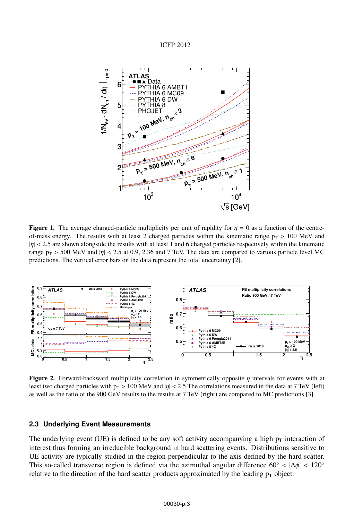ICFP 2012



**Figure 1.** The average charged-particle multiplicity per unit of rapidity for  $\eta = 0$  as a function of the centreof-mass energy. The results with at least 2 charged particles within the kinematic range  $p_T > 100$  MeV and  $|\eta|$  < 2.5 are shown alongside the results with at least 1 and 6 charged particles respectively within the kinematic range  $p_T > 500$  MeV and  $|\eta| < 2.5$  at 0.9, 2.36 and 7 TeV. The data are compared to various particle level MC predictions. The vertical error bars on the data represent the total uncertainty [2].



Figure 2. Forward-backward multiplicity correlation in symmetrically opposite  $\eta$  intervals for events with at least two charged particles with  $p_T > 100 \text{ MeV}$  and  $|\eta| < 2.5$  The correlations measured in the data at 7 TeV (left) as well as the ratio of the 900 GeV results to the results at 7 TeV (right) are compared to MC predictions [3].

### **2.3 Underlying Event Measurements**

The underlying event (UE) is defined to be any soft activity accompanying a high  $p_T$  interaction of interest thus forming an irreducible background in hard scattering events. Distributions sensitive to UE activity are typically studied in the region perpendicular to the axis defined by the hard scatter. This so-called transverse region is defined via the azimuthal angular difference  $60° < |\Delta\phi| < 120°$ relative to the direction of the hard scatter products approximated by the leading  $p_T$  object.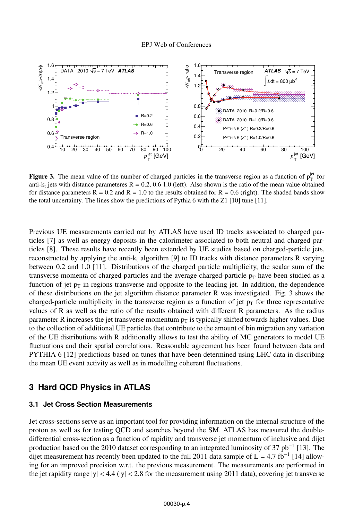

**Figure 3.** The mean value of the number of charged particles in the transverse region as a function of  $p_T^{jet}$  for anti-k jets with distance parameteres  $R = 0.2, 0.6, 1.0$  (left). Also shown is the ratio of the mean valu anti-k<sub>t</sub> jets with distance parameteres  $R = 0.2, 0.6, 1.0$  (left). Also shown is the ratio of the mean value obtained for distance parameters  $R = 0.2$  and  $R = 1.0$  to the results obtained for  $R = 0.6$  (right). The shaded bands show the total uncertainty. The lines show the predictions of Pythia 6 with the Z1 [10] tune [11].

Previous UE measurements carried out by ATLAS have used ID tracks associated to charged particles [7] as well as energy deposits in the calorimeter associated to both neutral and charged particles [8]. These results have recently been extended by UE studies based on charged-particle jets, reconstructed by applying the anti-k, algorithm [9] to ID tracks with distance parameters R varying between 0.2 and 1.0 [11]. Distributions of the charged particle multiplicity, the scalar sum of the transverse momenta of charged particles and the average charged-particle  $p_T$  have been studied as a function of jet  $p_T$  in regions transverse and opposite to the leading jet. In addition, the dependence of these distributions on the jet algorithm distance parameter R was investigated. Fig. 3 shows the charged-particle multiplicity in the transverse region as a function of jet  $p_T$  for three representative values of R as well as the ratio of the results obtained with different R parameters. As the radius parameter R increases the jet transverse momentum  $p<sub>T</sub>$  is typically shifted towards higher values. Due to the collection of additional UE particles that contribute to the amount of bin migration any variation of the UE distributions with R additionally allows to test the ability of MC generators to model UE fluctuations and their spatial correlations. Reasonable agreement has been found between data and PYTHIA 6 [12] predictions based on tunes that have been determined using LHC data in discribing the mean UE event activity as well as in modelling coherent fluctuations.

## **3 Hard QCD Physics in ATLAS**

### **3.1 Jet Cross Section Measurements**

Jet cross-sections serve as an important tool for providing information on the internal structure of the proton as well as for testing QCD and searches beyond the SM. ATLAS has measured the doubledifferential cross-section as a function of rapidity and transverse jet momentum of inclusive and dijet production based on the 2010 dataset corresponding to an integrated luminosity of 37 pb<sup>-1</sup> [13]. The dijet measurement has recently been updated to the full 2011 data sample of L = 4.7 fb<sup>-1</sup> [14] allowing for an improved precision w.r.t. the previous measurement. The measurements are performed in the jet rapidity range  $|y| < 4.4$  ( $|y| < 2.8$  for the measurement using 2011 data), covering jet transverse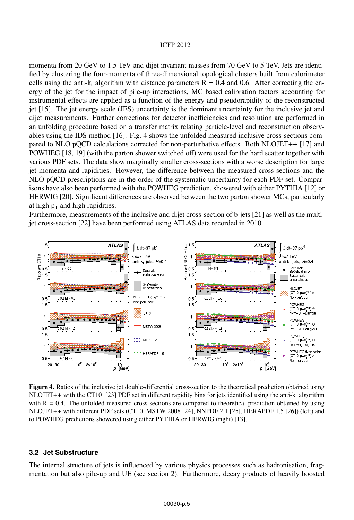#### ICFP 2012

momenta from 20 GeV to 1.5 TeV and dijet invariant masses from 70 GeV to 5 TeV. Jets are identified by clustering the four-momenta of three-dimensional topological clusters built from calorimeter cells using the anti-k<sub>t</sub> algorithm with distance parameters  $R = 0.4$  and 0.6. After correcting the energy of the jet for the impact of pile-up interactions, MC based calibration factors accounting for instrumental effects are applied as a function of the energy and pseudorapidity of the reconstructed jet [15]. The jet energy scale (JES) uncertainty is the dominant uncertainty for the inclusive jet and dijet measurements. Further corrections for detector inefficiencies and resolution are performed in an unfolding procedure based on a transfer matrix relating particle-level and reconstruction observables using the IDS method [16]. Fig. 4 shows the unfolded measured inclusive cross-sections compared to NLO pQCD calculations corrected for non-perturbative effects. Both NLOJET++ [17] and POWHEG [18, 19] (with the parton shower switched off) were used for the hard scatter together with various PDF sets. The data show marginally smaller cross-sections with a worse description for large jet momenta and rapidities. However, the difference between the measured cross-sections and the NLO pQCD prescriptions are in the order of the systematic uncertainty for each PDF set. Comparisons have also been performed with the POWHEG prediction, showered with either PYTHIA [12] or HERWIG [20]. Significant differences are observed between the two parton shower MCs, particularly at high  $p_T$  and high rapidities.

Furthermore, measurements of the inclusive and dijet cross-section of b-jets [21] as well as the multijet cross-section [22] have been performed using ATLAS data recorded in 2010.



Figure 4. Ratios of the inclusive jet double-differential cross-section to the theoretical prediction obtained using NLOJET++ with the CT10 [23] PDF set in different rapidity bins for jets identified using the anti- $k_t$  algorithm with  $R = 0.4$ . The unfolded measured cross-sections are compared to theoretical prediction obtained by using NLOJET++ with different PDF sets (CT10, MSTW 2008 [24], NNPDF 2.1 [25], HERAPDF 1.5 [26]) (left) and to POWHEG predictions showered using either PYTHIA or HERWIG (right) [13].

#### **3.2 Jet Substructure**

The internal structure of jets is influenced by various physics processes such as hadronisation, fragmentation but also pile-up and UE (see section 2). Furthermore, decay products of heavily boosted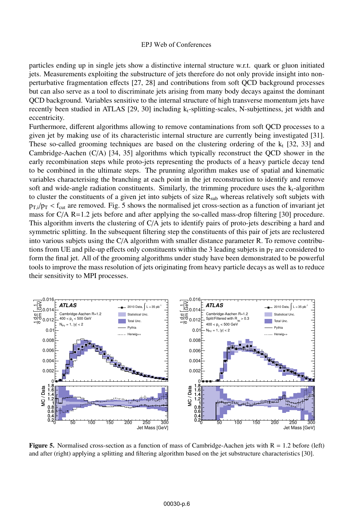#### EPJ Web of Conferences

particles ending up in single jets show a distinctive internal structure w.r.t. quark or gluon initiated jets. Measurements exploiting the substructure of jets therefore do not only provide insight into nonperturbative fragmentation effects [27, 28] and contributions from soft QCD background processes but can also serve as a tool to discriminate jets arising from many body decays against the dominant QCD background. Variables sensitive to the internal structure of high transverse momentum jets have recently been studied in ATLAS  $[29, 30]$  including  $k_t$ -splitting-scales, N-subjettiness, jet width and eccentricity.

Furthermore, different algorithms allowing to remove contaminations from soft QCD processes to a given jet by making use of its characteristic internal structure are currently being investigated [31]. These so-called grooming techniques are based on the clustering ordering of the  $k_t$  [32, 33] and Cambridge-Aachen (C/A) [34, 35] algorithms which typically reconstruct the QCD shower in the early recombination steps while proto-jets representing the products of a heavy particle decay tend to be combined in the ultimate steps. The prunning algorithm makes use of spatial and kinematic variables characterising the branching at each point in the jet reconstruction to identify and remove soft and wide-angle radiation constituents. Similarly, the trimming procedure uses the  $k_t$ -algorithm to cluster the constituents of a given jet into subjets of size  $R_{sub}$  whereas relatively soft subjets with  $p_{T,i}/p_T < f_{cut}$  are removed. Fig. 5 shows the normalised jet cross-section as a function of invariant jet mass for C/A R=1.2 jets before and after applying the so-called mass-drop filtering [30] procedure. This algorithm inverts the clustering of C/A jets to identify pairs of proto-jets describing a hard and symmetric splitting. In the subsequent filtering step the constituents of this pair of jets are reclustered into various subjets using the  $C/A$  algorithm with smaller distance parameter R. To remove contributions from UE and pile-up effects only constituents within the 3 leading subjets in  $p_T$  are considered to form the final jet. All of the grooming algorithms under study have been demonstrated to be powerful tools to improve the mass resolution of jets originating from heavy particle decays as well as to reduce their sensitivity to MPI processes.



Figure 5. Normalised cross-section as a function of mass of Cambridge-Aachen jets with  $R = 1.2$  before (left) and after (right) applying a splitting and filtering algorithm based on the jet substructure characteristics [30].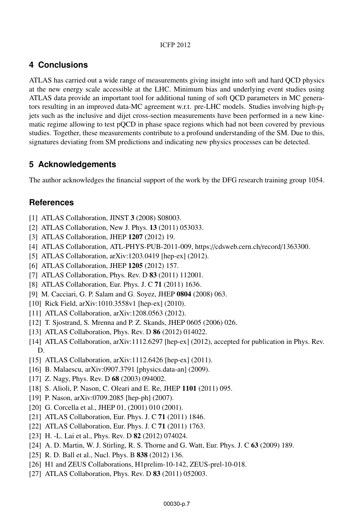# **4 Conclusions**

ATLAS has carried out a wide range of measurements giving insight into soft and hard QCD physics at the new energy scale accessible at the LHC. Minimum bias and underlying event studies using ATLAS data provide an important tool for additional tuning of soft QCD parameters in MC generators resulting in an improved data-MC agreement w.r.t. pre-LHC models. Studies involving high- $p_T$ jets such as the inclusive and dijet cross-section measurements have been performed in a new kinematic regime allowing to test pQCD in phase space regions which had not been covered by previous studies. Together, these measurements contribute to a profound understanding of the SM. Due to this, signatures deviating from SM predictions and indicating new physics processes can be detected.

# **5 Acknowledgements**

The author acknowledges the financial support of the work by the DFG research training group 1054.

# **References**

- [1] ATLAS Collaboration, JINST **3** (2008) S08003.
- [2] ATLAS Collaboration, New J. Phys. **13** (2011) 053033.
- [3] ATLAS Collaboration, JHEP 1207 (2012) 19.
- [4] ATLAS Collaboration, ATL-PHYS-PUB-2011-009, https://cdsweb.cern.ch/record/1363300.
- [5] ATLAS Collaboration, arXiv:1203.0419 [hep-ex] (2012).
- [6] ATLAS Collaboration, JHEP 1205 (2012) 157.
- [7] ATLAS Collaboration, Phys. Rev. D **83** (2011) 112001.
- [8] ATLAS Collaboration, Eur. Phys. J. C 71 (2011) 1636.
- [9] M. Cacciari, G. P. Salam and G. Soyez, JHEP 0804 (2008) 063.
- [10] Rick Field, arXiv:1010.3558v1 [hep-ex] (2010).
- [11] ATLAS Collaboration, arXiv:1208.0563 (2012).
- [12] T. Sjostrand, S. Mrenna and P. Z. Skands, JHEP 0605 (2006) 026.
- [13] ATLAS Collaboration, Phys. Rev. D **86** (2012) 014022.
- [14] ATLAS Collaboration, arXiv:1112.6297 [hep-ex] (2012), accepted for publication in Phys. Rev. D.
- [15] ATLAS Collaboration, arXiv:1112.6426 [hep-ex] (2011).
- [16] B. Malaescu, arXiv:0907.3791 [physics.data-an] (2009).
- [17] Z. Nagy, Phys. Rev. D 68 (2003) 094002.
- [18] S. Alioli, P. Nason, C. Oleari and E. Re, JHEP 1101 (2011) 095.
- [19] P. Nason, arXiv:0709.2085 [hep-ph] (2007).
- [20] G. Corcella et al., JHEP 01, (2001) 010 (2001).
- [21] ATLAS Collaboration, Eur. Phys. J. C 71 (2011) 1846.
- [22] ATLAS Collaboration, Eur. Phys. J. C 71 (2011) 1763.
- [23] H. -L. Lai et al., Phys. Rev. D **82** (2012) 074024.
- [24] A. D. Martin, W. J. Stirling, R. S. Thorne and G. Watt, Eur. Phys. J. C 63 (2009) 189.
- [25] R. D. Ball et al., Nucl. Phys. B **838** (2012) 136.
- [26] H1 and ZEUS Collaborations, H1prelim-10-142, ZEUS-prel-10-018.
- [27] ATLAS Collaboration, Phys. Rev. D **83** (2011) 052003.